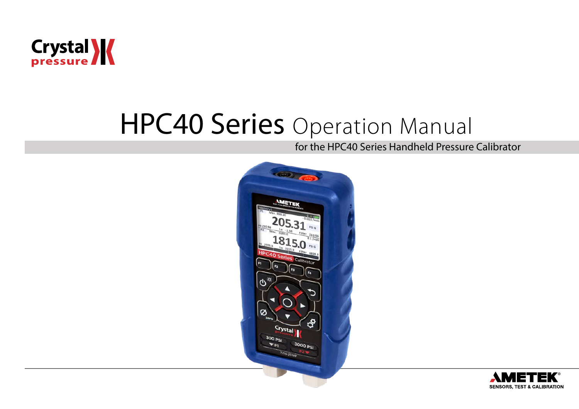

# **HPC40 Series** Operation Manual

for the HPC40 Series Handheld Pressure Calibrator



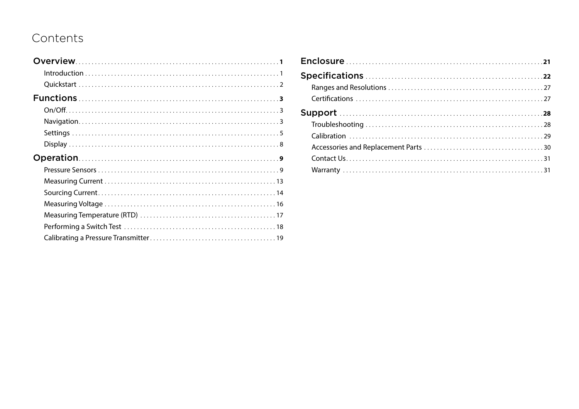# Contents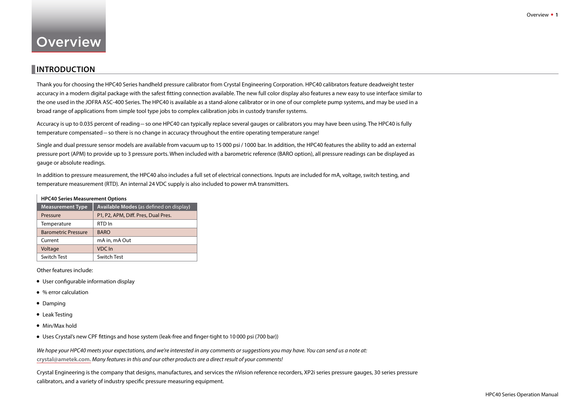# <span id="page-2-0"></span>**Overview**

# **INTRODUCTION**

Thank you for choosing the HPC40 Series handheld pressure calibrator from Crystal Engineering Corporation. HPC40 calibrators feature deadweight tester accuracy in a modern digital package with the safest fitting connection available. The new full color display also features a new easy to use interface similar to the one used in the JOFRA ASC-400 Series. The HPC40 is available as a stand-alone calibrator or in one of our complete pump systems, and may be used in a broad range of applications from simple tool type jobs to complex calibration jobs in custody transfer systems.

Accuracy is up to 0.035 percent of reading–so one HPC40 can typically replace several gauges or calibrators you may have been using. The HPC40 is fully temperature compensated–so there is no change in accuracy throughout the entire operating temperature range!

Single and dual pressure sensor models are available from vacuum up to 15 000 psi / 1000 bar. In addition, the HPC40 features the ability to add an external pressure port (APM) to provide up to 3 pressure ports. When included with a barometric reference (BARO option), all pressure readings can be displayed as gauge or absolute readings.

In addition to pressure measurement, the HPC40 also includes a full set of electrical connections. Inputs are included for mA, voltage, switch testing, and temperature measurement (RTD). An internal 24 VDC supply is also included to power mA transmitters.

#### **HPC40 Series Measurement Options**

| <b>Measurement Type</b>    | Available Modes (as defined on display) |
|----------------------------|-----------------------------------------|
| Pressure                   | P1, P2, APM, Diff. Pres, Dual Pres.     |
| Temperature                | RTD In                                  |
| <b>Barometric Pressure</b> | <b>BARO</b>                             |
| Current                    | mA in, mA Out                           |
| Voltage                    | VDC In                                  |
| Switch Test                | Switch Test                             |

Other features include:

- **•** User configurable information display
- **•** % error calculation
- **•** Damping
- **•** Leak Testing
- **•** Min/Max hold
- **•** Uses Crystal's new CPF fittings and hose system (leak-free and finger-tight to 10 000 psi (700 bar))

*We hope your HPC40 meets your expectations, and we're interested in any comments or suggestions you may have. You can send us a note at:*  **[crystal@ametek.com.](mailto:crystal%40ametek.com?subject=)** *Many features in this and our other products are a direct result of your comments!*

Crystal Engineering is the company that designs, manufactures, and services the nVision reference recorders, XP2i series pressure gauges, 30 series pressure calibrators, and a variety of industry specific pressure measuring equipment.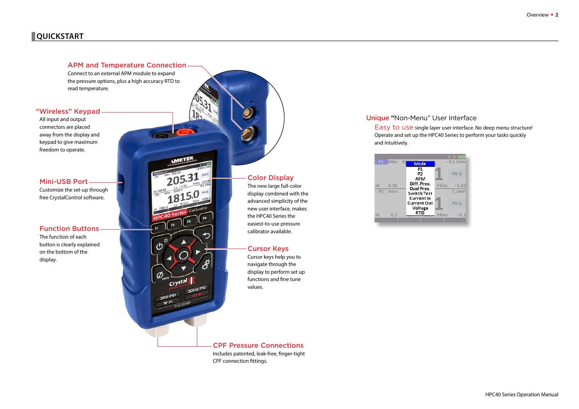# <span id="page-3-0"></span>**QUICKSTART**

#### APM and Temperature Connection

Connect to an external APM module to expand the pressure options, plus a high accuracy RTD to read temperature.

#### "Wireless" Keypad

All input and output connectors are placed away from the display and keypad to give maximum freedom to operate.

Mini-USB Port Customize the set-up through free CrystalControl software.

The function of each button is clearly explained on the bottom of the display.



### Color Display

The new large full-color display combined with the advanced simplicity of the new user interface, makes the HPC40 Series the easiest-to-use pressure

#### Cursor Keys

Cursor keys help you to navigate through the display to perform set up functions and fine tune values.

CPF Pressure Connections Includes patented, leak-free, finger-tight CPF connection fittings.

#### Unique "Non-Menu" User Interface

Easy to use single layer user interface. No deep menu structure! Operate and set up the HPC40 Series to perform your tasks quickly and intuitively.

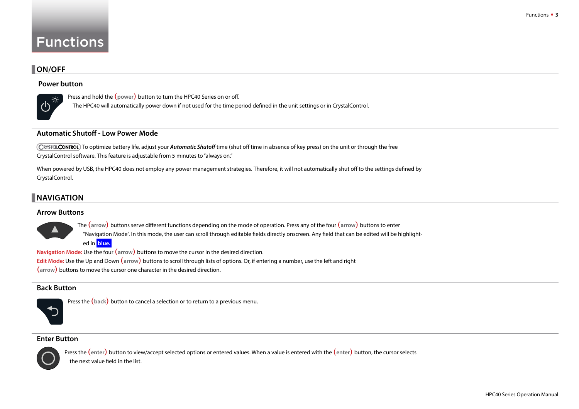# <span id="page-4-0"></span>Functions

# **ON/OFF**

#### **Power button**



Press and hold the **(power)** button to turn the HPC40 Series on or off.

The HPC40 will automatically power down if not used for the time period defined in the unit settings or in CrystalControl.

#### **Automatic Shutoff - Low Power Mode**

To optimize battery life, adjust your *Automatic Shutoff* time (shut off time in absence of key press) on the unit or through the free CrystalControl software. This feature is adjustable from 5 minutes to "always on."

When powered by USB, the HPC40 does not employ any power management strategies. Therefore, it will not automatically shut off to the settings defined by CrystalControl.

# **NAVIGATION**

#### **Arrow Buttons**



The **(arrow)** buttons serve different functions depending on the mode of operation. Press any of the four **(arrow)** buttons to enter "Navigation Mode". In this mode, the user can scroll through editable fields directly onscreen. Any field that can be edited will be highlighted in **blue.** 

**Navigation Mode:** Use the four **(arrow)** buttons to move the cursor in the desired direction. **Edit Mode:** Use the Up and Down **(arrow)** buttons to scroll through lists of options. Or, if entering a number, use the left and right **(arrow)** buttons to move the cursor one character in the desired direction.

#### **Back Button**



Press the **(back)** button to cancel a selection or to return to a previous menu.

#### **Enter Button**



Press the **(enter)** button to view/accept selected options or entered values. When a value is entered with the **(enter)** button, the cursor selects the next value field in the list.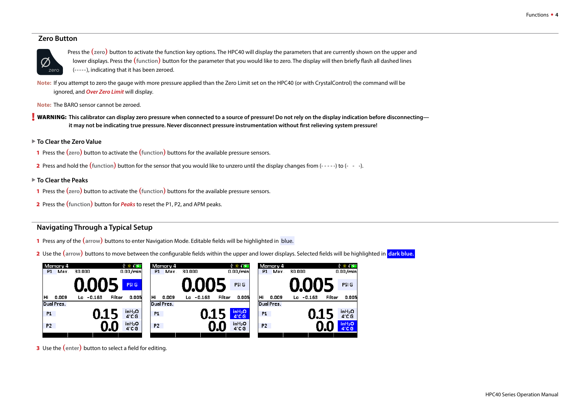#### **Zero Button**



Press the **(zero)** button to activate the function key options. The HPC40 will display the parameters that are currently shown on the upper and lower displays. Press the **(function)** button for the parameter that you would like to zero. The display will then briefly flash all dashed lines (-----), indicating that it has been zeroed.

**Note:** If you attempt to zero the gauge with more pressure applied than the Zero Limit set on the HPC40 (or with CrystalControl) the command will be ignored, and *Over Zero Limit* will display.

**Note:** The BARO sensor cannot be zeroed.

! WARNING: **This calibrator can display zero pressure when connected to a source of pressure! Do not rely on the display indication before disconnecting it may not be indicating true pressure. Never disconnect pressure instrumentation without first relieving system pressure!**

- ▶ To Clear the Zero Value
- 1 Press the **(zero)** button to activate the **(function)** buttons for the available pressure sensors.
- 2 Press and hold the **(function)** button for the sensor that you would like to unzero until the display changes from (- - -) to (- -).
- X **To Clear the Peaks**
- 1 Press the **(zero)** button to activate the **(function)** buttons for the available pressure sensors.
- 2 Press the **(function)** button for *Peaks* to reset the P1, P2, and APM peaks.

#### <span id="page-5-0"></span>**Navigating Through a Typical Setup**

- 1 Press any of the **(arrow)** buttons to enter Navigation Mode. Editable fields will be highlighted in blue.
- 2 Use the (arrow) buttons to move between the configurable fields within the upper and lower displays. Selected fields will be highlighted in dark blue.



3 Use the **(enter)** button to select a field for editing.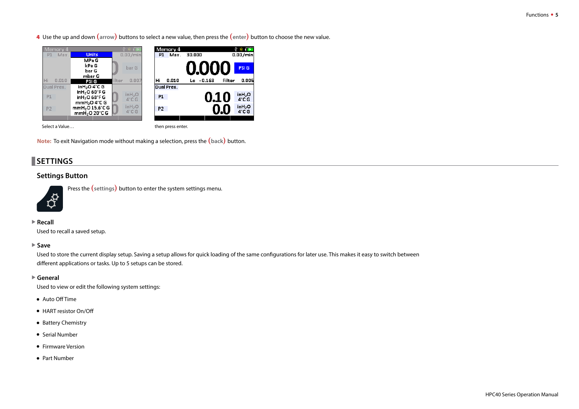<span id="page-6-0"></span>4 Use the up and down **(arrow)** buttons to select a new value, then press the **(enter)** button to choose the new value.



**Note:** To exit Navigation mode without making a selection, press the **(back)** button.

# **SETTINGS**

#### **Settings Button**



Press the **(settings)** button to enter the system settings menu.

#### **▶ Recall**

Used to recall a saved setup.

#### **▶ Save**

Used to store the current display setup. Saving a setup allows for quick loading of the same configurations for later use. This makes it easy to switch between different applications or tasks. Up to 5 setups can be stored.

#### ▶ General

Used to view or edit the following system settings:

- **•** Auto Off Time
- **•** HART resistor On/Off
- **•** Battery Chemistry
- **•** Serial Number
- **•** Firmware Version
- **•** Part Number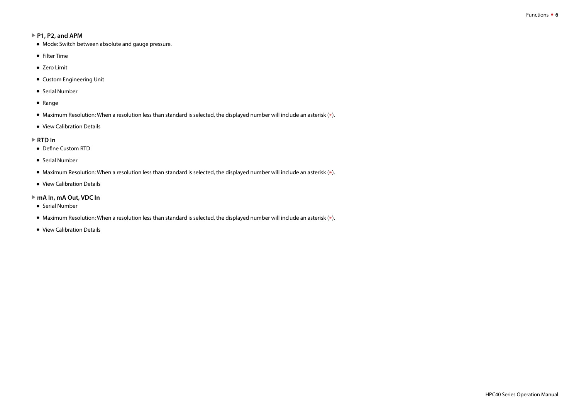#### <span id="page-7-0"></span>▶ P1, P2, and APM

- **•** Mode: Switch between absolute and gauge pressure.
- **•** Filter Time
- **•** Zero Limit
- **•** Custom Engineering Unit
- **•** Serial Number
- **•** Range
- **•** Maximum Resolution: When a resolution less than standard is selected, the displayed number will include an asterisk (\*).
- **•** View Calibration Details

#### **▶ RTD In**

- **•** Define Custom RTD
- **•** Serial Number
- **•** Maximum Resolution: When a resolution less than standard is selected, the displayed number will include an asterisk (\*).
- **•** View Calibration Details

#### ▶ mA In, mA Out, VDC In

- **•** Serial Number
- **•** Maximum Resolution: When a resolution less than standard is selected, the displayed number will include an asterisk (\*).
- **•** View Calibration Details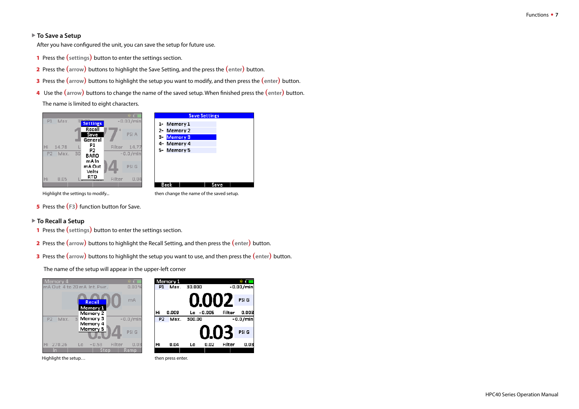#### ▶ To Save a Setup

After you have configured the unit, you can save the setup for future use.

- 1 Press the **(settings)** button to enter the settings section.
- 2 Press the **(arrow)** buttons to highlight the Save Setting, and the press the **(enter)** button.
- 3 Press the **(arrow)** buttons to highlight the setup you want to modify, and then press the **(enter)** button.
- 4 Use the **(arrow)** buttons to change the name of the saved setup. When finished press the **(enter)** button.

The name is limited to eight characters.



Highlight the settings to modify... then change the name of the saved setup.

5 Press the **(F3)** function button for Save.

#### ▶ To Recall a Setup

- 1 Press the **(settings)** button to enter the settings section.
- 2 Press the **(arrow)** buttons to highlight the Recall Setting, and then press the **(enter)** button.
- 3 Press the **(arrow)** buttons to highlight the setup you want to use, and then press the **(enter)** button.

The name of the setup will appear in the upper-left corner

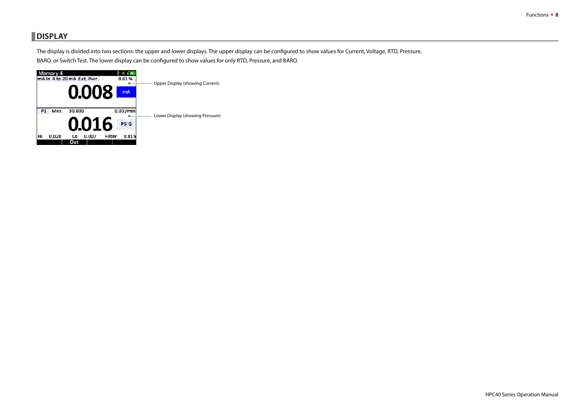# <span id="page-9-0"></span>    **DISPLAY**

The display is divided into two sections: the upper and lower displays. The upper display can be configured to show values for Current, Voltage, RTD, Pressure, BARO, or Switch Test. The lower display can be configured to show values for only RTD, Pressure, and BARO.

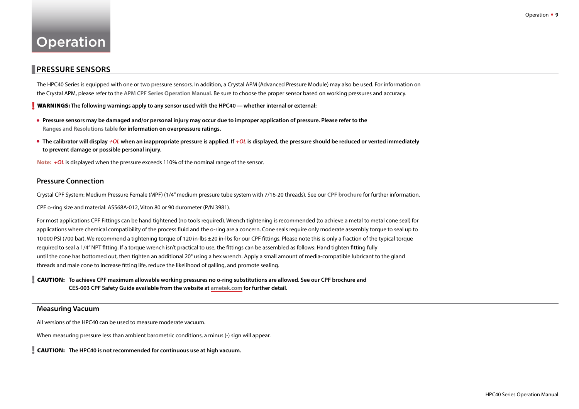# <span id="page-10-0"></span>Operation

### **PRESSURE SENSORS**

The HPC40 Series is equipped with one or two pressure sensors. In addition, a Crystal APM (Advanced Pressure Module) may also be used. For information on the Crystal APM, please refer to the **[APM CPF Series Operation Manual.](http://www.ametekcalibration.com/products/pressure/pressure-calibrators/apm-cpf-pressure-modules)** Be sure to choose the proper sensor based on working pressures and accuracy.

! WARNINGS: **The following warnings apply to any sensor used with the HPC40— whether internal or external:**

- **• Pressure sensors may be damaged and/or personal injury may occur due to improper application of pressure. Please refer to the [Ranges and Resolutions table](#page-28-1) for information on overpressure ratings.**
- **• The calibrator will display** *+OL* **when an inappropriate pressure is applied. If** *+OL* **is displayed, the pressure should be reduced or vented immediately to prevent damage or possible personal injury.**

**Note:** *<sup>+</sup>OL* is displayed when the pressure exceeds 110% of the nominal range of the sensor.

#### **Pressure Connection**

Crystal CPF System: Medium Pressure Female (MPF) (1/4" medium pressure tube system with 7/16-20 threads). See our **[CPF brochure](http://www.ametekcalibration.com/products/pump-systems/pressure-fittings/cpf-crystal-pressure-fittings)** for further information.

CPF o-ring size and material: AS568A-012, Viton 80 or 90 durometer (P/N 3981).

For most applications CPF Fittings can be hand tightened (no tools required). Wrench tightening is recommended (to achieve a metal to metal cone seal) for applications where chemical compatibility of the process fluid and the o-ring are a concern. Cone seals require only moderate assembly torque to seal up to 10000 PSI (700 bar). We recommend a tightening torque of 120 in-lbs ±20 in-lbs for our CPF fittings. Please note this is only a fraction of the typical torque required to seal a 1/4" NPT fitting. If a torque wrench isn't practical to use, the fittings can be assembled as follows: Hand tighten fitting fully until the cone has bottomed out, then tighten an additional 20° using a hex wrench. Apply a small amount of media-compatible lubricant to the gland threads and male cone to increase fitting life, reduce the likelihood of galling, and promote sealing.

! CAUTION: **To achieve CPF maximum allowable working pressures no o-ring substitutions are allowed. See our CPF brochure and CES-003 CPF Safety Guide available from the website at [ametek.com](http://www.ametekcalibration.com/products/pump-systems/pressure-fittings/cpf-crystal-pressure-fittings) for further detail.**

#### **Measuring Vacuum**

All versions of the HPC40 can be used to measure moderate vacuum.

When measuring pressure less than ambient barometric conditions, a minus (-) sign will appear.

! CAUTION: **The HPC40 is not recommended for continuous use at high vacuum.**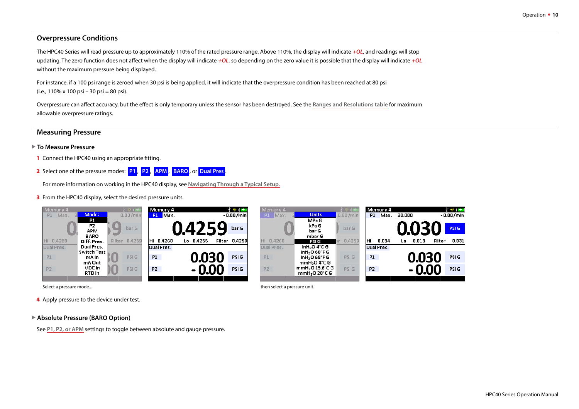#### **Overpressure Conditions**

The HPC40 Series will read pressure up to approximately 110% of the rated pressure range. Above 110%, the display will indicate *+OL*, and readings will stop updating. The zero function does not affect when the display will indicate *+OL*, so depending on the zero value it is possible that the display will indicate *+OL* without the maximum pressure being displayed.

For instance, if a 100 psi range is zeroed when 30 psi is being applied, it will indicate that the overpressure condition has been reached at 80 psi  $(i.e., 110\% \times 100 \text{ psi} - 30 \text{ psi} = 80 \text{ psi}).$ 

Overpressure can affect accuracy, but the effect is only temporary unless the sensor has been destroyed. See the **[Ranges and Resolutions table](#page-28-1)** for maximum allowable overpressure ratings.

#### **Measuring Pressure**

#### ▶ To Measure Pressure

- 1 Connect the HPC40 using an appropriate fitting.
- 2 Select one of the pressure modes: **P1** , **P2** , **APM** , **BARO** , or **Dual Pres** .

For more information on working in the HPC40 display, see **[Navigating Through a Typical Setup.](#page-5-0)**

**3** From the HPC40 display, select the desired pressure units.



Select a pressure mode... **Select a pressure unit.** Select a pressure unit.

4 Apply pressure to the device under test.

▶ Absolute Pressure (BARO Option)

See **[P1, P2, or APM](#page-7-0)** settings to toggle between absolute and gauge pressure.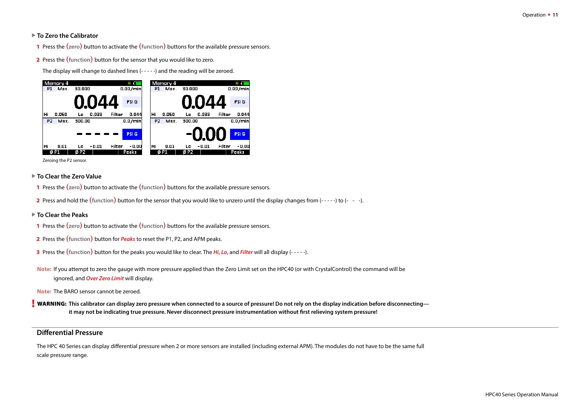#### ▶ To Zero the Calibrator

- 1 Press the **(zero)** button to activate the **(function)** buttons for the available pressure sensors.
- 2 Press the **(function)** button for the sensor that you would like to zero.

The display will change to dashed lines (- - - - -) and the reading will be zeroed.



Zeroing the P2 sensor.

- ▶ To Clear the Zero Value
- 1 Press the **(zero)** button to activate the **(function)** buttons for the available pressure sensors.
- 2 Press and hold the (function) button for the sensor that you would like to unzero until the display changes from (-----) to (- --).
- ▶ To Clear the Peaks
- 1 Press the **(zero)** button to activate the **(function)** buttons for the available pressure sensors.
- 2 Press the **(function)** button for *Peaks* to reset the P1, P2, and APM peaks.
- 3 Press the **(function)** button for the peaks you would like to clear. The *Hi*, *Lo*, and *Filter* will all display (- - -).
- **Note:** If you attempt to zero the gauge with more pressure applied than the Zero Limit set on the HPC40 (or with CrystalControl) the command will be ignored, and *Over Zero Limit* will display.

**Note:** The BARO sensor cannot be zeroed.

! WARNING: **This calibrator can display zero pressure when connected to a source of pressure! Do not rely on the display indication before disconnecting it may not be indicating true pressure. Never disconnect pressure instrumentation without first relieving system pressure!**

### <span id="page-12-0"></span>**Differential Pressure**

The HPC 40 Series can display differential pressure when 2 or more sensors are installed (including external APM). The modules do not have to be the same full scale pressure range.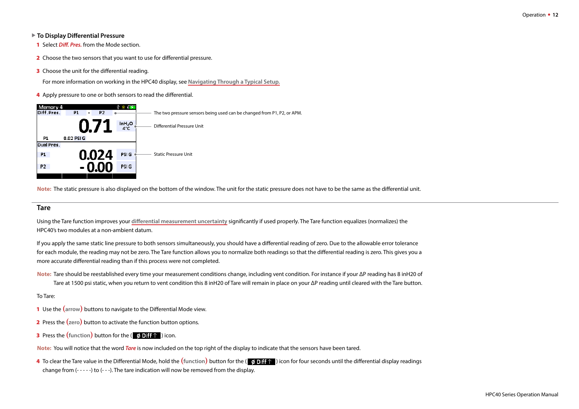#### ▶ To Display Differential Pressure

- 1 Select *Diff. Pres.* from the Mode section.
- 2 Choose the two sensors that you want to use for differential pressure.
- **3** Choose the unit for the differential reading.

For more information on working in the HPC40 display, see **[Navigating Through a Typical Setup.](#page-5-0)**

4 Apply pressure to one or both sensors to read the differential.



**Note:** The static pressure is also displayed on the bottom of the window. The unit for the static pressure does not have to be the same as the differential unit.

#### **Tare**

Using the Tare function improves your **[differential measurement uncertainty](#page-12-0)** significantly if used properly. The Tare function equalizes (normalizes) the HPC40's two modules at a non-ambient datum.

If you apply the same static line pressure to both sensors simultaneously, you should have a differential reading of zero. Due to the allowable error tolerance for each module, the reading may not be zero. The Tare function allows you to normalize both readings so that the differential reading is zero. This gives you a more accurate differential reading than if this process were not completed.

**Note:** Tare should be reestablished every time your measurement conditions change, including vent condition. For instance if your ΔP reading has 8 inH20 of Tare at 1500 psi static, when you return to vent condition this 8 inH20 of Tare will remain in place on your ΔP reading until cleared with the Tare button.

#### To Tare:

- 1 Use the **(arrow)** buttons to navigate to the Differential Mode view.
- 2 Press the **(zero)** button to activate the function button options.
- **3** Press the (function) button for the (  $\phi$  Diff  $\uparrow$  ) icon.

**Note:** You will notice that the word *Tare* is now included on the top right of the display to indicate that the sensors have been tared.

4 To clear the Tare value in the Differential Mode, hold the (function) button for the ( **0 Differential** for four seconds until the differential display readings change from (- - - - -) to (- - -). The tare indication will now be removed from the display.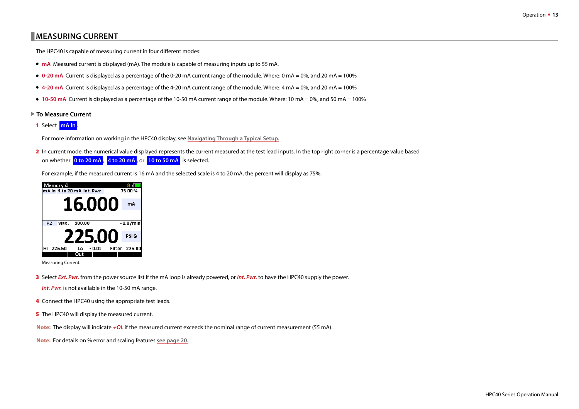# <span id="page-14-0"></span>    **MEASURING CURRENT**

The HPC40 is capable of measuring current in four different modes:

- **• mA** Measured current is displayed (mA). The module is capable of measuring inputs up to 55 mA.
- **• 0-20 mA** Current is displayed as a percentage of the 0-20 mA current range of the module. Where: 0 mA = 0%, and 20 mA = 100%
- **• 4-20 mA** Current is displayed as a percentage of the 4-20 mA current range of the module. Where: 4 mA = 0%, and 20 mA = 100%
- **• 10-50 mA** Current is displayed as a percentage of the 10-50 mA current range of the module. Where: 10 mA = 0%, and 50 mA = 100%
- ▶ To Measure Current
- 1 Select **mA In** .

For more information on working in the HPC40 display, see **[Navigating Through a Typical Setup.](#page-5-0)**

2 In current mode, the numerical value displayed represents the current measured at the test lead inputs. In the top right corner is a percentage value based on whether **0 to 20 mA** , **4 to 20 mA** , or **10 to 50 mA** is selected.

For example, if the measured current is 16 mA and the selected scale is 4 to 20 mA, the percent will display as 75%.



Measuring Current.

- 3 Select *Ext. Pwr.* from the power source list if the mA loop is already powered, or *Int. Pwr.* to have the HPC40 supply the power.
	- *Int. Pwr.* is not available in the 10-50 mA range.
- 4 Connect the HPC40 using the appropriate test leads.
- 5 The HPC40 will display the measured current.

**Note:** The display will indicate *+OL* if the measured current exceeds the nominal range of current measurement (55 mA).

**Note:** For details on % error and scaling features **[see page 20.](#page-21-0)**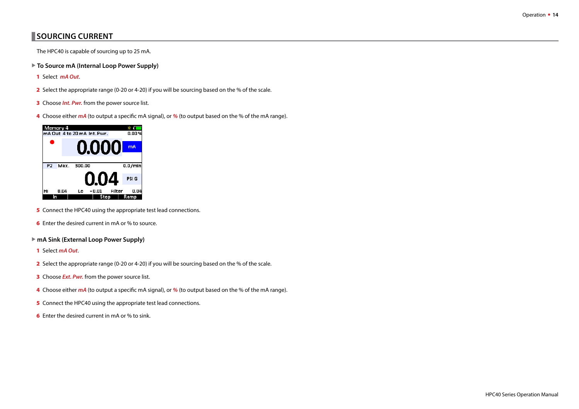# <span id="page-15-0"></span>**SOURCING CURRENT**

The HPC40 is capable of sourcing up to 25 mA.

- ▶ To Source mA (Internal Loop Power Supply)
- 1 Select *mA Out*.
- 2 Select the appropriate range (0-20 or 4-20) if you will be sourcing based on the % of the scale.
- 3 Choose *Int. Pwr.* from the power source list.
- 4 Choose either *mA* (to output a specific mA signal), or *%* (to output based on the % of the mA range).



- **5** Connect the HPC40 using the appropriate test lead connections.
- 6 Enter the desired current in mA or % to source.
- ▶ mA Sink (External Loop Power Supply)
- 1 Select *mA Out*.
- 2 Select the appropriate range (0-20 or 4-20) if you will be sourcing based on the % of the scale.
- 3 Choose *Ext. Pwr.* from the power source list.
- 4 Choose either *mA* (to output a specific mA signal), or *%* (to output based on the % of the mA range).
- **5** Connect the HPC40 using the appropriate test lead connections.
- 6 Enter the desired current in mA or % to sink.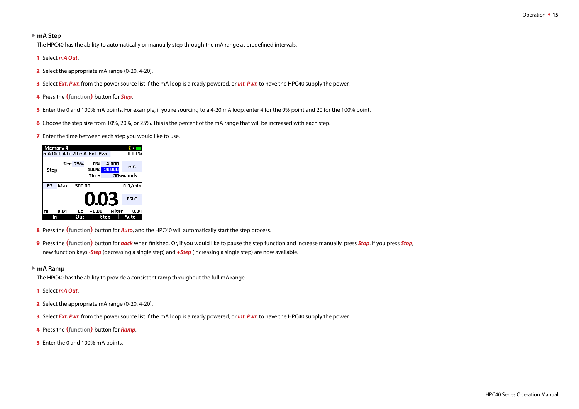#### **► mA Step**

The HPC40 has the ability to automatically or manually step through the mA range at predefined intervals.

#### 1 Select *mA Out*.

- 2 Select the appropriate mA range (0-20, 4-20).
- 3 Select *Ext. Pwr.* from the power source list if the mA loop is already powered, or *Int. Pwr.* to have the HPC40 supply the power.
- 4 Press the **(function)** button for *Step*.
- 5 Enter the 0 and 100% mA points. For example, if you're sourcing to a 4-20 mA loop, enter 4 for the 0% point and 20 for the 100% point.
- 6 Choose the step size from 10%, 20%, or 25%. This is the percent of the mA range that will be increased with each step.
- **7** Enter the time between each step you would like to use.

| Memory 4<br>mA Out 4 to 20 mA Ext. Pwr. |      |                 |            |                 | 0.00 %           |
|-----------------------------------------|------|-----------------|------------|-----------------|------------------|
| Step                                    |      | <b>Size 25%</b> | 0%<br>100% | 4.000<br>20,000 | mA               |
|                                         |      |                 | Time       |                 | <b>30seconds</b> |
| P <sub>2</sub>                          | Max. | 300.00          |            |                 | 0.0/mln          |
|                                         |      |                 |            | 0.03            | <b>PSIG</b>      |
| Hi                                      | 0.04 | Lo              | -0.01      | Filter          | 0.04             |
|                                         |      |                 |            | Sten            | Auto             |

- 8 Press the **(function)** button for *Auto*, and the HPC40 will automatically start the step process.
- 9 Press the **(function)** button for *back* when finished. Or, if you would like to pause the step function and increase manually, press *Stop*. If you press *Stop*, new function keys *-Step* (decreasing a single step) and *+Step* (increasing a single step) are now available.

#### **► mA Ramp**

The HPC40 has the ability to provide a consistent ramp throughout the full mA range.

- 1 Select *mA Out*.
- 2 Select the appropriate mA range (0-20, 4-20).
- 3 Select *Ext. Pwr.* from the power source list if the mA loop is already powered, or *Int. Pwr.* to have the HPC40 supply the power.
- 4 Press the **(function)** button for *Ramp*.
- 5 Enter the 0 and 100% mA points.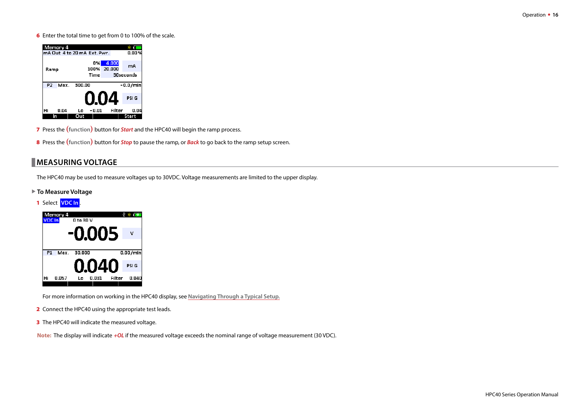<span id="page-17-0"></span>6 Enter the total time to get from 0 to 100% of the scale.



- 7 Press the **(function)** button for *Start* and the HPC40 will begin the ramp process.
- 8 Press the **(function)** button for *Stop* to pause the ramp, or *Back* to go back to the ramp setup screen.

### **MEASURING VOLTAGE**

The HPC40 may be used to measure voltages up to 30VDC. Voltage measurements are limited to the upper display.

#### ▶ To Measure Voltage

#### 1 Select **VDC In** .



For more information on working in the HPC40 display, see **[Navigating Through a Typical Setup.](#page-5-0)**

- 2 Connect the HPC40 using the appropriate test leads.
- **3** The HPC40 will indicate the measured voltage.

**Note:** The display will indicate *+OL* if the measured voltage exceeds the nominal range of voltage measurement (30 VDC).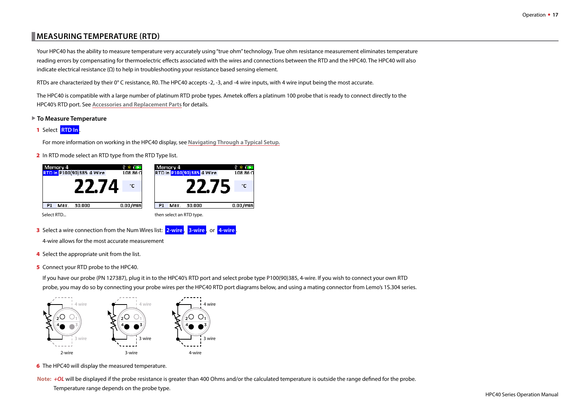# <span id="page-18-0"></span>    **MEASURING TEMPERATURE (RTD)**

Your HPC40 has the ability to measure temperature very accurately using "true ohm" technology. True ohm resistance measurement eliminates temperature reading errors by compensating for thermoelectric effects associated with the wires and connections between the RTD and the HPC40. The HPC40 will also indicate electrical resistance  $(\Omega)$  to help in troubleshooting your resistance based sensing element.

RTDs are characterized by their  $0^{\circ}$ C resistance, R0. The HPC40 accepts -2, -3, and -4 wire inputs, with 4 wire input being the most accurate.

The HPC40 is compatible with a large number of platinum RTD probe types. Ametek offers a platinum 100 probe that is ready to connect directly to the HPC40's RTD port. See **Accessories and Replacement Parts** for details.

- ▶ To Measure Temperature
- 1 Select **RTD In** .

For more information on working in the HPC40 display, see **[Navigating Through a Typical Setup.](#page-5-0)**

2 In RTD mode select an RTD type from the RTD Type list.



- 3 Select a wire connection from the Num Wires list: **2-wire** , **3-wire** , or **4-wire** . 4-wire allows for the most accurate measurement
- 4 Select the appropriate unit from the list.
- **5** Connect your RTD probe to the HPC40.

If you have our probe (PN 127387), plug it in to the HPC40's RTD port and select probe type P100(90)385, 4-wire. If you wish to connect your own RTD probe, you may do so by connecting your probe wires per the HPC40 RTD port diagrams below, and using a mating connector from Lemo's 1S.304 series.



6 The HPC40 will display the measured temperature.

**Note:** *<sup>+</sup>OL* will be displayed if the probe resistance is greater than 400 Ohms and/or the calculated temperature is outside the range defined for the probe.

Temperature range depends on the probe type.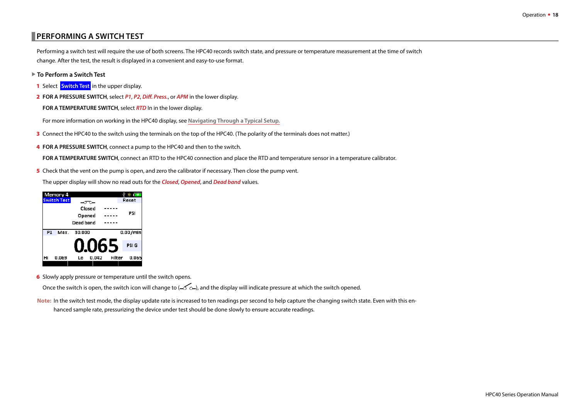# <span id="page-19-0"></span>    **PERFORMING A SWITCH TEST**

Performing a switch test will require the use of both screens. The HPC40 records switch state, and pressure or temperature measurement at the time of switch change. After the test, the result is displayed in a convenient and easy-to-use format.

- ▶ To Perform a Switch Test
- 1 Select **Switch Test** in the upper display.
- 2 **FOR A PRESSURE SWITCH**, select *P1*, *P2*, *Diff. Press.*, or *APM* in the lower display.
	- **FOR A TEMPERATURE SWITCH**, select *RTD* In in the lower display.

For more information on working in the HPC40 display, see **[Navigating Through a Typical Setup.](#page-5-0)**

- 3 Connect the HPC40 to the switch using the terminals on the top of the HPC40. (The polarity of the terminals does not matter.)
- 4 **FOR A PRESSURE SWITCH**, connect a pump to the HPC40 and then to the switch.

**FOR A TEMPERATURE SWITCH**, connect an RTD to the HPC40 connection and place the RTD and temperature sensor in a temperature calibrator.

5 Check that the vent on the pump is open, and zero the calibrator if necessary. Then close the pump vent.

The upper display will show no read outs for the *Closed*, *Opened*, and *Dead band* values.

|                | Memory 4           |           |        |        | † * ∎       |
|----------------|--------------------|-----------|--------|--------|-------------|
|                | <b>Switch Test</b> |           |        |        | Reset       |
|                |                    |           | Closed |        |             |
|                |                    | Opened    |        |        | PSI         |
|                |                    | Dead band |        |        |             |
| P <sub>1</sub> | Max.               | 30.000    |        |        | 0.00/mln    |
|                |                    |           |        | 0.065  | <b>PSIG</b> |
| Hi             | 0.069              | Lo        | 0.042  | Filter | 0.065       |
|                |                    |           |        |        |             |

**6** Slowly apply pressure or temperature until the switch opens.

Once the switch is open, the switch icon will change to ( $\sim$   $\sim$ ), and the display will indicate pressure at which the switch opened.

**Note:** In the switch test mode, the display update rate is increased to ten readings per second to help capture the changing switch state. Even with this enhanced sample rate, pressurizing the device under test should be done slowly to ensure accurate readings.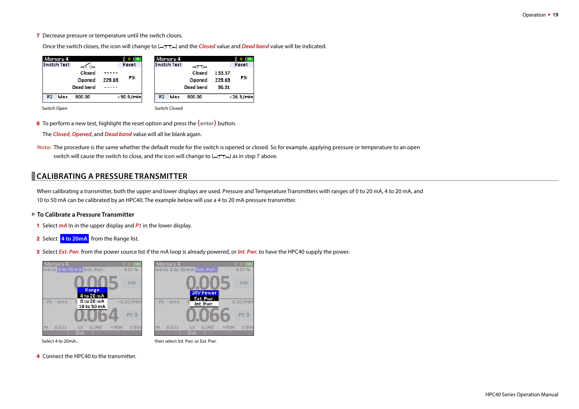<span id="page-20-0"></span>7 Decrease pressure or temperature until the switch closes.

Once the switch closes, the icon will change to ( $-\sigma$ ) and the *Closed* value and *Dead band* value will be indicated.

| Memory 4<br><b>Switch Test</b> |                               |        | ※ 下<br>Reset  |                | Memory 4<br>Switch Test | –ೡ−                           |                           | Reset       |
|--------------------------------|-------------------------------|--------|---------------|----------------|-------------------------|-------------------------------|---------------------------|-------------|
|                                | Closed<br>Opened<br>Dead band | 229.68 | PSI           |                |                         | Closed<br>Opened<br>Dead band | 133.37<br>229.68<br>96.31 | PSI         |
| Max.<br>P <sub>2</sub>         | 300.00                        |        | $-30.9 / min$ | P <sub>2</sub> | Max.                    | 300.00                        |                           | $-26.3/min$ |
| Switch Open                    |                               |        |               |                | Switch Closed           |                               |                           |             |

8 To perform a new test, highlight the reset option and press the **(enter)** button.

The *Closed*, *Opened*, and *Dead band* value will all be blank again.

**Note:** The procedure is the same whether the default mode for the switch is opened or closed. So for example, applying pressure or temperature to an open switch will cause the switch to close, and the icon will change to  $(-\sigma \rightarrow)$  as in step 7 above.

# **CALIBRATING A PRESSURE TRANSMITTER**

When calibrating a transmitter, both the upper and lower displays are used. Pressure and Temperature Transmitters with ranges of 0 to 20 mA, 4 to 20 mA, and 10 to 50 mA can be calibrated by an HPC40. The example below will use a 4 to 20 mA pressure transmitter.

- ▶ To Calibrate a Pressure Transmitter
- 1 Select *mA* In in the upper display and *P1* in the lower display.
- 2 Select **4 to 20mA** from the Range list.
- 3 Select *Ext. Pwr.* from the power source list if the mA loop is already powered, or *Int. Pwr.* to have the HPC40 supply the power.



4 Connect the HPC40 to the transmitter.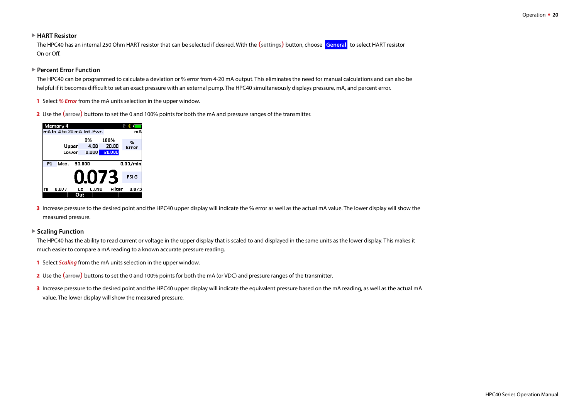#### ▶ **HART Resistor**

The HPC40 has an internal 250 Ohm HART resistor that can be selected if desired. With the **(settings)** button, choose **General** to select HART resistor On or Off.

#### <span id="page-21-0"></span>▶ Percent Error Function

The HPC40 can be programmed to calculate a deviation or % error from 4-20 mA output. This eliminates the need for manual calculations and can also be helpful if it becomes difficult to set an exact pressure with an external pump. The HPC40 simultaneously displays pressure, mA, and percent error.

- 1 Select *% Error* from the mA units selection in the upper window.
- 2 Use the **(arrow)** buttons to set the 0 and 100% points for both the mA and pressure ranges of the transmitter.

| Memory 4       |                            |        |       |              |        |             |  |
|----------------|----------------------------|--------|-------|--------------|--------|-------------|--|
|                | mA in 4 to 20 mA int. Pwr. |        |       |              |        | mA          |  |
|                |                            |        | 0%    | 100%         |        | %           |  |
|                | Upper                      |        | 4.00  | 20.00        |        | Error       |  |
|                | Lower                      |        | 0.000 | 30,000       |        |             |  |
|                |                            |        |       |              |        |             |  |
| P <sub>1</sub> | Max.                       | 30.000 |       |              |        | 0.00/mln    |  |
|                |                            |        |       |              |        |             |  |
|                |                            |        |       | <b>0.073</b> |        | <b>PSIG</b> |  |
|                |                            |        |       |              |        |             |  |
|                |                            |        |       |              |        |             |  |
| Hi             | 0.077                      | Lo     | 0.040 |              | Filter | 0.073       |  |

3 Increase pressure to the desired point and the HPC40 upper display will indicate the % error as well as the actual mA value. The lower display will show the measured pressure.

#### ▶ Scaling Function

The HPC40 has the ability to read current or voltage in the upper display that is scaled to and displayed in the same units as the lower display. This makes it much easier to compare a mA reading to a known accurate pressure reading.

- 1 Select *Scaling* from the mA units selection in the upper window.
- 2 Use the **(arrow)** buttons to set the 0 and 100% points for both the mA (or VDC) and pressure ranges of the transmitter.
- 3 Increase pressure to the desired point and the HPC40 upper display will indicate the equivalent pressure based on the mA reading, as well as the actual mA value. The lower display will show the measured pressure.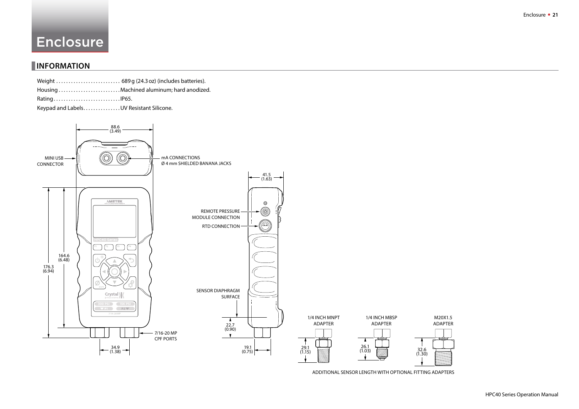# <span id="page-22-0"></span>Enclosure

# **INFORMATION**

Keypad and Labels. . . . . . . . . . . . . . UV Resistant Silicone.



ADDITIONAL SENSOR LENGTH WITH OPTIONAL FITTING ADAPTERS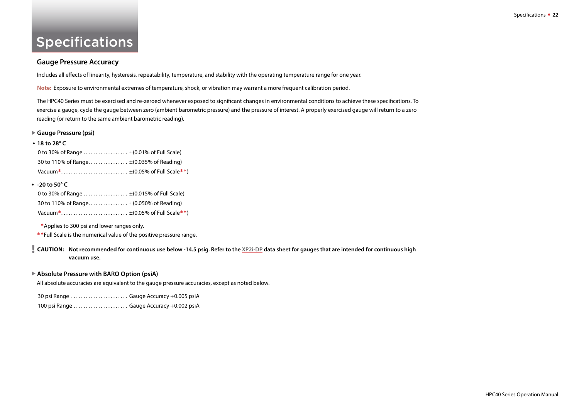# <span id="page-23-0"></span>**Specifications**

#### **Gauge Pressure Accuracy**

Includes all effects of linearity, hysteresis, repeatability, temperature, and stability with the operating temperature range for one year.

**Note:** Exposure to environmental extremes of temperature, shock, or vibration may warrant a more frequent calibration period.

The HPC40 Series must be exercised and re-zeroed whenever exposed to significant changes in environmental conditions to achieve these specifications. To exercise a gauge, cycle the gauge between zero (ambient barometric pressure) and the pressure of interest. A properly exercised gauge will return to a zero reading (or return to the same ambient barometric reading).

#### ▶ Gauge Pressure (psi)

| $\bullet$ 18 to 28° C                         |  |
|-----------------------------------------------|--|
| 0 to 30% of Range $\pm$ (0.01% of Full Scale) |  |
| 30 to 110% of Range ±(0.035% of Reading)      |  |
|                                               |  |

#### **• -20 to 50° C**

| 0 to 30% of Range ±(0.015% of Full Scale) |  |
|-------------------------------------------|--|
| 30 to 110% of Range ±(0.050% of Reading)  |  |
|                                           |  |

\*Applies to 300 psi and lower ranges only.

\*\*Full Scale is the numerical value of the positive pressure range.

! **CAUTION: Not recommended for continuous use below -14.5 psig. Refer to the [XP2i-DP](http://www.ametekcalibration.com/products/pressure/digital-pressure-gauges/xp2i-dp-differential-pressure-gauge) data sheet for gauges that are intended for continuous high vacuum use.**

#### ▶ Absolute Pressure with BARO Option (psiA)

All absolute accuracies are equivalent to the gauge pressure accuracies, except as noted below.

30 psi Range . . . . . . . . . . . . . . . . . . . . . . . Gauge Accuracy +0.005 psiA

100 psi Range . . . . . . . . . . . . . . . . . . . . . . Gauge Accuracy +0.002 psiA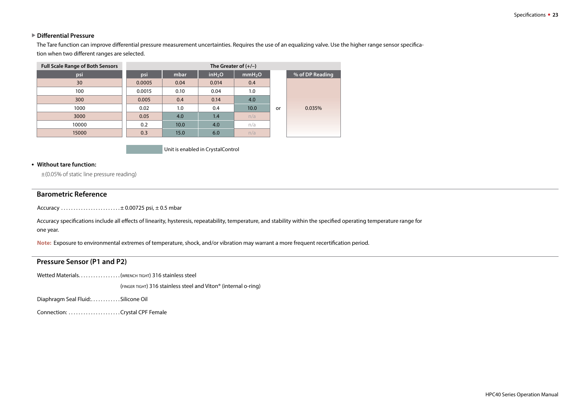#### **Differential Pressure**

The Tare function can improve differential pressure measurement uncertainties. Requires the use of an equalizing valve. Use the higher range sensor specification when two different ranges are selected.

| <b>Full Scale Range of Both Sensors</b> | The Greater of $(+/-)$ |      |                     |                    |    |                 |  |  |
|-----------------------------------------|------------------------|------|---------------------|--------------------|----|-----------------|--|--|
| psi                                     | psi                    | mbar | in H <sub>2</sub> O | mmH <sub>2</sub> O |    | % of DP Reading |  |  |
| 30                                      | 0.0005                 | 0.04 | 0.014               | 0.4                |    |                 |  |  |
| 100                                     | 0.0015                 | 0.10 | 0.04                | 1.0                |    |                 |  |  |
| 300                                     | 0.005                  | 0.4  | 0.14                | 4.0                |    |                 |  |  |
| 1000                                    | 0.02                   | 1.0  | 0.4                 | 10.0               | or | 0.035%          |  |  |
| 3000                                    | 0.05                   | 4.0  | 1.4                 | n/a                |    |                 |  |  |
| 10000                                   | 0.2                    | 10.0 | 4.0                 | n/a                |    |                 |  |  |
| 15000                                   | 0.3                    | 15.0 | 6.0                 | n/a                |    |                 |  |  |

Unit is enabled in CrystalControl

#### **• Without tare function:**

±(0.05% of static line pressure reading)

#### **Barometric Reference**

Accuracy . . . . . . . . . . . . . . . . . . . . . . . .± 0.00725 psi, ± 0.5 mbar

Accuracy specifications include all effects of linearity, hysteresis, repeatability, temperature, and stability within the specified operating temperature range for one year.

**Note:** Exposure to environmental extremes of temperature, shock, and/or vibration may warrant a more frequent recertification period.

#### **Pressure Sensor (P1 and P2)**

Wetted Materials. . . . . . . . . . . . . . . . . . (WRENCH TIGHT) 316 stainless steel

(finger tight) 316 stainless steel and Viton® (internal o-ring)

Diaphragm Seal Fluid:. . . . . . . . . . . . Silicone Oil

Connection: . . . . . . . . . . . . . . . . . . . . .Crystal CPF Female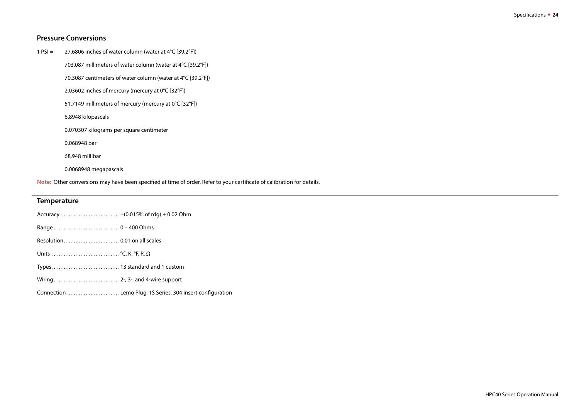#### **Pressure Conversions**

| 27.6806 inches of water column (water at 4°C [39.2°F])<br>$1 PSI =$ |  |
|---------------------------------------------------------------------|--|
|---------------------------------------------------------------------|--|

703.087 millimeters of water column (water at 4°C [39.2°F])

70.3087 centimeters of water column (water at 4°C [39.2°F])

2.03602 inches of mercury (mercury at 0°C [32°F])

51.7149 millimeters of mercury (mercury at 0°C [32°F])

6.8948 kilopascals

0.070307 kilograms per square centimeter

0.068948 bar

68.948 millibar

0.0068948 megapascals

Note: Other conversions may have been specified at time of order. Refer to your certificate of calibration for details.

#### **Temperature**

- Range . . . . . . . . . . . . . . . . . . . . . . . . . . .0 400 Ohms
- Resolution. . . . . . . . . . . . . . . . . . . . . . . 0.01 on all scales
- Units . . . . . . . . . . . . . . . . . . . . . . . . . . . .°C, K, °F, R, Ω
- Types. . . . . . . . . . . . . . . . . . . . . . . . . . . .13 standard and 1 custom
- Wiring. . . . . . . . . . . . . . . . . . . . . . . . . . .2-, 3-, and 4-wire support

Connection. . . . . . . . . . . . . . . . . . . . . . Lemo Plug, 1S Series, 304 insert configuration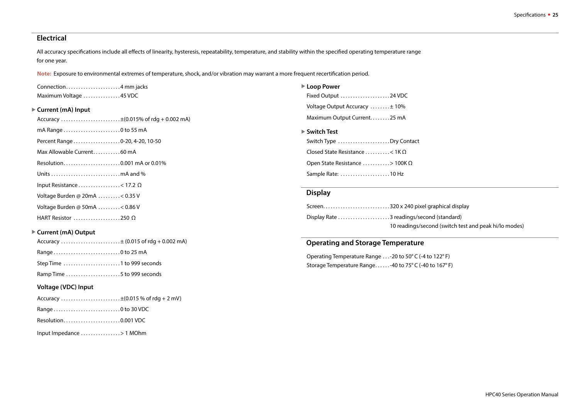#### **Electrical**

All accuracy specifications include all effects of linearity, hysteresis, repeatability, temperature, and stability within the specified operating temperature range for one year.

**Note:** Exposure to environmental extremes of temperature, shock, and/or vibration may warrant a more frequent recertification period.

| Connection4 mm jacks   |  |
|------------------------|--|
| Maximum Voltage 45 VDC |  |

#### ▶ Current (mA) Input

| Accuracy ±(0.015% of rdg + 0.002 mA) |  |  |  |  |  |
|--------------------------------------|--|--|--|--|--|
|--------------------------------------|--|--|--|--|--|

mA Range . . . . . . . . . . . . . . . . . . . . . . .0 to 55 mA

Percent Range . . . . . . . . . . . . . . . . . . . 0-20, 4-20, 10-50

- Max Allowable Current. . . . . . . . . . . 60 mA
- Resolution. . . . . . . . . . . . . . . . . . . . . . . 0.001 mA or 0.01%
- Units . . . . . . . . . . . . . . . . . . . . . . . . . . . .mA and %
- Input Resistance . . . . . . . . . . . . . . . < 17.2  $\Omega$
- Voltage Burden @ 20mA . . . . . . . . .< 0.35 V
- Voltage Burden @ 50mA . . . . . . . . .< 0.86 V
- HART Resistor . . . . . . . . . . . . . . . . . . .250 Ω

#### ▶ Current (mA) Output

|--|--|--|

- Range . . . . . . . . . . . . . . . . . . . . . . . . . . .0 to 25 mA
- Step Time . . . . . . . . . . . . . . . . . . . . . . .1 to 999 seconds
- Ramp Time . . . . . . . . . . . . . . . . . . . . . .5 to 999 seconds

#### **Voltage (VDC) Input**

- Accuracy  $\dots\dots\dots\dots\dots\dots\dots\dots\dots\pm(0.015\%$  of rdg + 2 mV)
- Range . . . . . . . . . . . . . . . . . . . . . . . . . . .0 to 30 VDC
- Resolution. . . . . . . . . . . . . . . . . . . . . . . 0.001 VDC
- Input Impedance . . . . . . . . . . . . . . . .> 1 MOhm
- ▶ Loop Power
- Fixed Output . . . . . . . . . . . . . . . . . . . .24 VDC Voltage Output Accuracy . . . . . . . .± 10% Maximum Output Current. . . . . . . . 25 mA
- ▶ Switch Test

| Switch Type Dry Contact               |  |
|---------------------------------------|--|
| Closed State Resistance < 1K $\Omega$ |  |
| Open State Resistance > 100K $\Omega$ |  |
| Sample Rate: 10 Hz                    |  |

#### **Display**

| Screen320 x 240 pixel graphical display               |
|-------------------------------------------------------|
|                                                       |
| 10 readings/second (switch test and peak hi/lo modes) |

#### **Operating and Storage Temperature**

Operating Temperature Range . . .-20 to 50° C (-4 to 122° F) Storage Temperature Range. . . . . .-40 to 75° C (-40 to 167° F)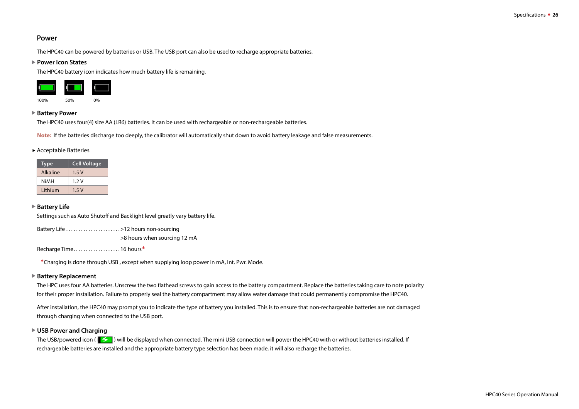#### **Power**

The HPC40 can be powered by batteries or USB. The USB port can also be used to recharge appropriate batteries.

#### ▶ Power Icon States

The HPC40 battery icon indicates how much battery life is remaining.



#### ▶ Battery Power

The HPC40 uses four(4) size AA (LR6) batteries. It can be used with rechargeable or non-rechargeable batteries.

**Note:** If the batteries discharge too deeply, the calibrator will automatically shut down to avoid battery leakage and false measurements.

#### Acceptable Batteries

| <b>Type</b> | <b>Cell Voltage</b> |
|-------------|---------------------|
| Alkaline    | 1.5V                |
| NiMH        | 1.2V                |
| Lithium     | 1.5V                |

#### ▶ Battery Life

Settings such as Auto Shutoff and Backlight level greatly vary battery life.

Battery Life . . . . . . . . . . . . . . . . . . . . . .>12 hours non-sourcing >8 hours when sourcing 12 mA

Recharge Time. . . . . . . . . . . . . . . . . . . 16 hours\*

\*Charging is done through USB , except when supplying loop power in mA, Int. Pwr. Mode.

#### ▶ Battery Replacement

The HPC uses four AA batteries. Unscrew the two flathead screws to gain access to the battery compartment. Replace the batteries taking care to note polarity for their proper installation. Failure to properly seal the battery compartment may allow water damage that could permanently compromise the HPC40.

After installation, the HPC40 may prompt you to indicate the type of battery you installed. This is to ensure that non-rechargeable batteries are not damaged through charging when connected to the USB port.

#### ▶ USB Power and Charging

The USB/powered icon ( $\|\leq$ ) will be displayed when connected. The mini USB connection will power the HPC40 with or without batteries installed. If rechargeable batteries are installed and the appropriate battery type selection has been made, it will also recharge the batteries.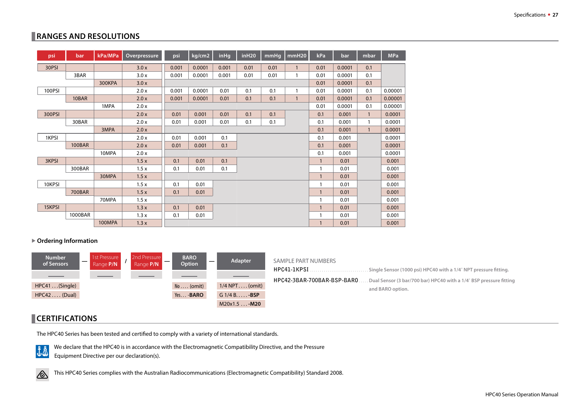# <span id="page-28-1"></span><span id="page-28-0"></span>**RANGES AND RESOLUTIONS**

| psi    | bar           | kPa/MPa | Overpressure | psi   | kg/cm2 | <b>inHg</b> | in H20 | mmHg | mmH20        | kPa          | bar    | mbar         | <b>MPa</b> |
|--------|---------------|---------|--------------|-------|--------|-------------|--------|------|--------------|--------------|--------|--------------|------------|
| 30PSI  |               |         | 3.0x         | 0.001 | 0.0001 | 0.001       | 0.01   | 0.01 | $\mathbf{1}$ | 0.01         | 0.0001 | 0.1          |            |
|        | 3BAR          |         | 3.0x         | 0.001 | 0.0001 | 0.001       | 0.01   | 0.01 | $\mathbf{1}$ | 0.01         | 0.0001 | 0.1          |            |
|        |               | 300KPA  | 3.0x         |       |        |             |        |      |              | 0.01         | 0.0001 | 0.1          |            |
| 100PSI |               |         | 2.0 x        | 0.001 | 0.0001 | 0.01        | 0.1    | 0.1  | $\mathbf{1}$ | 0.01         | 0.0001 | 0.1          | 0.00001    |
|        | 10BAR         |         | 2.0 x        | 0.001 | 0.0001 | 0.01        | 0.1    | 0.1  | $\mathbf{1}$ | 0.01         | 0.0001 | 0.1          | 0.00001    |
|        |               | 1MPA    | 2.0 x        |       |        |             |        |      |              | 0.01         | 0.0001 | 0.1          | 0.00001    |
| 300PSI |               |         | 2.0x         | 0.01  | 0.001  | 0.01        | 0.1    | 0.1  |              | 0.1          | 0.001  | $\mathbf{1}$ | 0.0001     |
|        | 30BAR         |         | 2.0 x        | 0.01  | 0.001  | 0.01        | 0.1    | 0.1  |              | 0.1          | 0.001  | $\mathbf{1}$ | 0.0001     |
|        |               | 3MPA    | 2.0x         |       |        |             |        |      |              | 0.1          | 0.001  | $\mathbf{1}$ | 0.0001     |
| 1KPSI  |               |         | 2.0x         | 0.01  | 0.001  | 0.1         |        |      |              | 0.1          | 0.001  |              | 0.0001     |
|        | <b>100BAR</b> |         | 2.0x         | 0.01  | 0.001  | 0.1         |        |      |              | 0.1          | 0.001  |              | 0.0001     |
|        |               | 10MPA   | 2.0x         |       |        |             |        |      |              | 0.1          | 0.001  |              | 0.0001     |
| 3KPSI  |               |         | 1.5x         | 0.1   | 0.01   | 0.1         |        |      |              | $\mathbf{1}$ | 0.01   |              | 0.001      |
|        | 300BAR        |         | 1.5x         | 0.1   | 0.01   | 0.1         |        |      |              | 1            | 0.01   |              | 0.001      |
|        |               | 30MPA   | 1.5x         |       |        |             |        |      |              |              | 0.01   |              | 0.001      |
| 10KPSI |               |         | 1.5x         | 0.1   | 0.01   |             |        |      |              |              | 0.01   |              | 0.001      |
|        | <b>700BAR</b> |         | 1.5x         | 0.1   | 0.01   |             |        |      |              | $\mathbf{1}$ | 0.01   |              | 0.001      |
|        |               | 70MPA   | 1.5x         |       |        |             |        |      |              |              | 0.01   |              | 0.001      |
| 15KPSI |               |         | 1.3x         | 0.1   | 0.01   |             |        |      |              |              | 0.01   |              | 0.001      |
|        | 1000BAR       |         | 1.3x         | 0.1   | 0.01   |             |        |      |              |              | 0.01   |              | 0.001      |
|        |               | 100MPA  | 1.3x         |       |        |             |        |      |              | 1            | 0.01   |              | 0.001      |

▶ Ordering Information



# **CERTIFICATIONS**

The HPC40 Series has been tested and certified to comply with a variety of international standards.



We declare that the HPC40 is in accordance with the Electromagnetic Compatibility Directive, and the Pressure Equipment Directive per our declaration(s).



This HPC40 Series complies with the Australian Radiocommunications (Electromagnetic Compatibility) Standard 2008.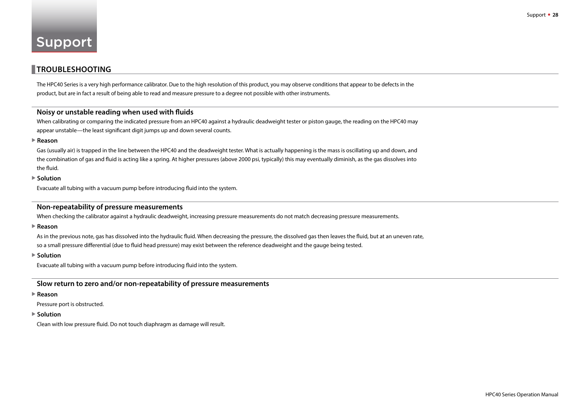### <span id="page-29-0"></span>    **TROUBLESHOOTING**

The HPC40 Series is a very high performance calibrator. Due to the high resolution of this product, you may observe conditions that appear to be defects in the product, but are in fact a result of being able to read and measure pressure to a degree not possible with other instruments.

#### **Noisy or unstable reading when used with fluids**

When calibrating or comparing the indicated pressure from an HPC40 against a hydraulic deadweight tester or piston gauge, the reading on the HPC40 may appear unstable—the least significant digit jumps up and down several counts.

#### X **Reason**

Gas (usually air) is trapped in the line between the HPC40 and the deadweight tester. What is actually happening is the mass is oscillating up and down, and the combination of gas and fluid is acting like a spring. At higher pressures (above 2000 psi, typically) this may eventually diminish, as the gas dissolves into the fluid.

#### **▶ Solution**

Evacuate all tubing with a vacuum pump before introducing fluid into the system.

#### **Non-repeatability of pressure measurements**

When checking the calibrator against a hydraulic deadweight, increasing pressure measurements do not match decreasing pressure measurements.

**▶ Reason** 

As in the previous note, gas has dissolved into the hydraulic fluid. When decreasing the pressure, the dissolved gas then leaves the fluid, but at an uneven rate, so a small pressure differential (due to fluid head pressure) may exist between the reference deadweight and the gauge being tested.

▶ Solution

Evacuate all tubing with a vacuum pump before introducing fluid into the system.

#### **Slow return to zero and/or non-repeatability of pressure measurements**

#### **▶ Reason**

Pressure port is obstructed.

#### ▶ Solution

Clean with low pressure fluid. Do not touch diaphragm as damage will result.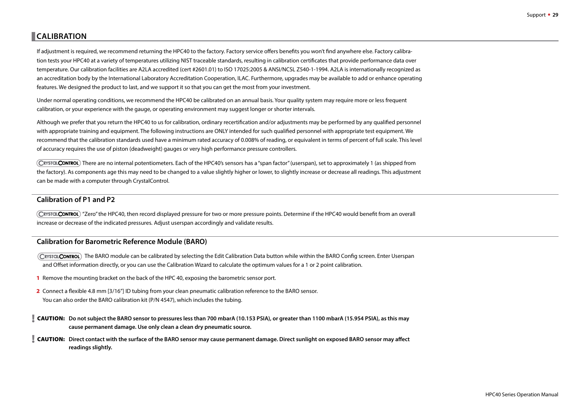# <span id="page-30-0"></span>    **CALIBRATION**

If adjustment is required, we recommend returning the HPC40 to the factory. Factory service offers benefits you won't find anywhere else. Factory calibration tests your HPC40 at a variety of temperatures utilizing NIST traceable standards, resulting in calibration certificates that provide performance data over temperature. Our calibration facilities are A2LA accredited (cert #2601.01) to ISO 17025:2005 & ANSI/NCSL Z540-1-1994. A2LA is internationally recognized as an accreditation body by the International Laboratory Accreditation Cooperation, ILAC. Furthermore, upgrades may be available to add or enhance operating features. We designed the product to last, and we support it so that you can get the most from your investment.

Under normal operating conditions, we recommend the HPC40 be calibrated on an annual basis. Your quality system may require more or less frequent calibration, or your experience with the gauge, or operating environment may suggest longer or shorter intervals.

Although we prefer that you return the HPC40 to us for calibration, ordinary recertification and/or adjustments may be performed by any qualified personnel with appropriate training and equipment. The following instructions are ONLY intended for such qualified personnel with appropriate test equipment. We recommend that the calibration standards used have a minimum rated accuracy of 0.008% of reading, or equivalent in terms of percent of full scale. This level of accuracy requires the use of piston (deadweight) gauges or very high performance pressure controllers.

CRYSTGLCONTROL) There are no internal potentiometers. Each of the HPC40's sensors has a "span factor" (userspan), set to approximately 1 (as shipped from the factory). As components age this may need to be changed to a value slightly higher or lower, to slightly increase or decrease all readings. This adjustment can be made with a computer through CrystalControl.

#### **Calibration of P1 and P2**

(CRYSTOLCONTROL) "Zero" the HPC40, then record displayed pressure for two or more pressure points. Determine if the HPC40 would benefit from an overall increase or decrease of the indicated pressures. Adjust userspan accordingly and validate results.

#### **Calibration for Barometric Reference Module (BARO)**

CRYSTGLCONTROL) The BARO module can be calibrated by selecting the Edit Calibration Data button while within the BARO Config screen. Enter Userspan and Offset information directly, or you can use the Calibration Wizard to calculate the optimum values for a 1 or 2 point calibration.

- 1 Remove the mounting bracket on the back of the HPC 40, exposing the barometric sensor port.
- 2 Connect a flexible 4.8 mm [3/16"] ID tubing from your clean pneumatic calibration reference to the BARO sensor. You can also order the BARO calibration kit (P/N 4547), which includes the tubing.
- ! CAUTION: **Do not subject the BARO sensor to pressures less than 700 mbarA (10.153 PSIA), or greater than 1100 mbarA (15.954 PSIA), as this may cause permanent damage. Use only clean a clean dry pneumatic source.**
- ! CAUTION: **Direct contact with the surface of the BARO sensor may cause permanent damage. Direct sunlight on exposed BARO sensor may affect readings slightly.**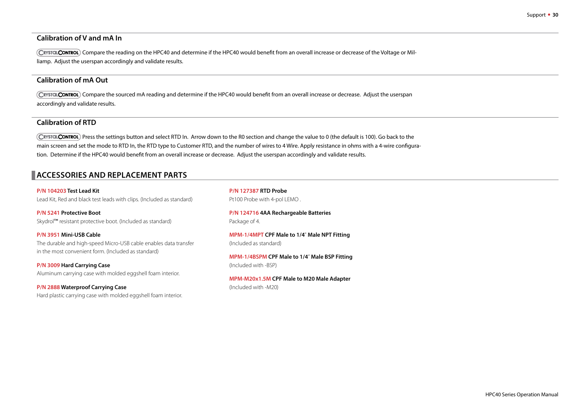#### **Calibration of V and mA In**

CRYSTOLCONTROL Compare the reading on the HPC40 and determine if the HPC40 would benefit from an overall increase or decrease of the Voltage or Milliamp. Adjust the userspan accordingly and validate results.

#### **Calibration of mA Out**

Compare the sourced mA reading and determine if the HPC40 would benefit from an overall increase or decrease. Adjust the userspan accordingly and validate results.

#### **Calibration of RTD**

CRYSTOL CONTROL) Press the settings button and select RTD In. Arrow down to the R0 section and change the value to 0 (the default is 100). Go back to the main screen and set the mode to RTD In, the RTD type to Customer RTD, and the number of wires to 4 Wire. Apply resistance in ohms with a 4-wire configuration. Determine if the HPC40 would benefit from an overall increase or decrease. Adjust the userspan accordingly and validate results.

# **ACCESSORIES AND REPLACEMENT PARTS**

**P/N 104203 Test Lead Kit**  Lead Kit, Red and black test leads with clips. (Included as standard)

**P/N 5241 Protective Boot**  Skydrol™ resistant protective boot. (Included as standard)

**P/N 3951 Mini-USB Cable**  The durable and high-speed Micro-USB cable enables data transfer in the most convenient form. (Included as standard)

**P/N 3009 Hard Carrying Case**  Aluminum carrying case with molded eggshell foam interior.

**P/N 2888 Waterproof Carrying Case**  Hard plastic carrying case with molded eggshell foam interior.

**P/N 127387 RTD Probe**  Pt100 Probe with 4-pol LEMO .

**P/N 124716 4AA Rechargeable Batteries**  Package of 4.

**MPM-1/4MPT CPF Male to 1/4**" **Male NPT Fitting** (Included as standard)

**MPM-1/4BSPM CPF Male to 1/4**" **Male BSP Fitting** (Included with -BSP)

**MPM-M20x1.5M CPF Male to M20 Male Adapter** (Included with -M20)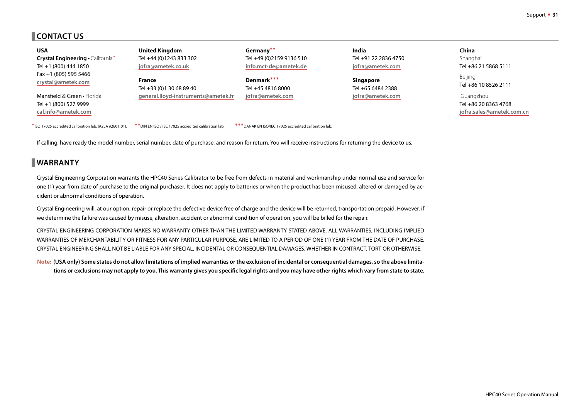# <span id="page-32-0"></span>**CONTACT US**

| <b>USA</b>                                                                  | <b>United Kingdom</b>                                 | Germany**                                              | India                | China                                                          |
|-----------------------------------------------------------------------------|-------------------------------------------------------|--------------------------------------------------------|----------------------|----------------------------------------------------------------|
| <b>Crystal Engineering · California*</b>                                    | Tel +44 (0)1243 833 302                               | Tel +49 (0)2159 9136 510                               | Tel +91 22 2836 4750 | Shanghai                                                       |
| Tel +1 (800) 444 1850                                                       | jofra@ametek.co.uk                                    | info.mct-de@ametek.de                                  | jofra@ametek.com     | Tel +86 21 5868 5111                                           |
| Fax +1 (805) 595 5466                                                       | <b>France</b>                                         | Denmark***                                             | <b>Singapore</b>     | Beijing                                                        |
| crystal@ametek.com                                                          | Tel +33 (0)1 30 68 89 40                              | Tel +45 4816 8000                                      | Tel +65 6484 2388    | Tel +86 10 8526 2111                                           |
| Mansfield & Green • Florida<br>Tel +1 (800) 527 9999<br>cal.info@ametek.com | general.lloyd-instruments@ametek.fr                   | jofra@ametek.com                                       | jofra@ametek.com     | Guangzhou<br>Tel +86 20 8363 4768<br>jofra.sales@ametek.com.cn |
| *ISO 17025 accredited calibration lab. (A2LA #2601.01).                     | ** DIN EN ISO / IEC 17025 accredited calibration lab. | *** DANAK EN ISO/IEC 17025 accredited calibration lab. |                      |                                                                |

If calling, have ready the model number, serial number, date of purchase, and reason for return. You will receive instructions for returning the device to us.

# **WARRANTY**

Crystal Engineering Corporation warrants the HPC40 Series Calibrator to be free from defects in material and workmanship under normal use and service for one (1) year from date of purchase to the original purchaser. It does not apply to batteries or when the product has been misused, altered or damaged by accident or abnormal conditions of operation.

Crystal Engineering will, at our option, repair or replace the defective device free of charge and the device will be returned, transportation prepaid. However, if we determine the failure was caused by misuse, alteration, accident or abnormal condition of operation, you will be billed for the repair.

CRYSTAL ENGINEERING CORPORATION MAKES NO WARRANTY OTHER THAN THE LIMITED WARRANTY STATED ABOVE. ALL WARRANTIES, INCLUDING IMPLIED WARRANTIES OF MERCHANTABILITY OR FITNESS FOR ANY PARTICULAR PURPOSE, ARE LIMITED TO A PERIOD OF ONE (1) YEAR FROM THE DATE OF PURCHASE. CRYSTAL ENGINEERING SHALL NOT BE LIABLE FOR ANY SPECIAL, INCIDENTAL OR CONSEQUENTIAL DAMAGES, WHETHER IN CONTRACT, TORT OR OTHERWISE.

**Note: (USA only) Some states do not allow limitations of implied warranties or the exclusion of incidental or consequential damages, so the above limitations or exclusions may not apply to you. This warranty gives you specific legal rights and you may have other rights which vary from state to state.**